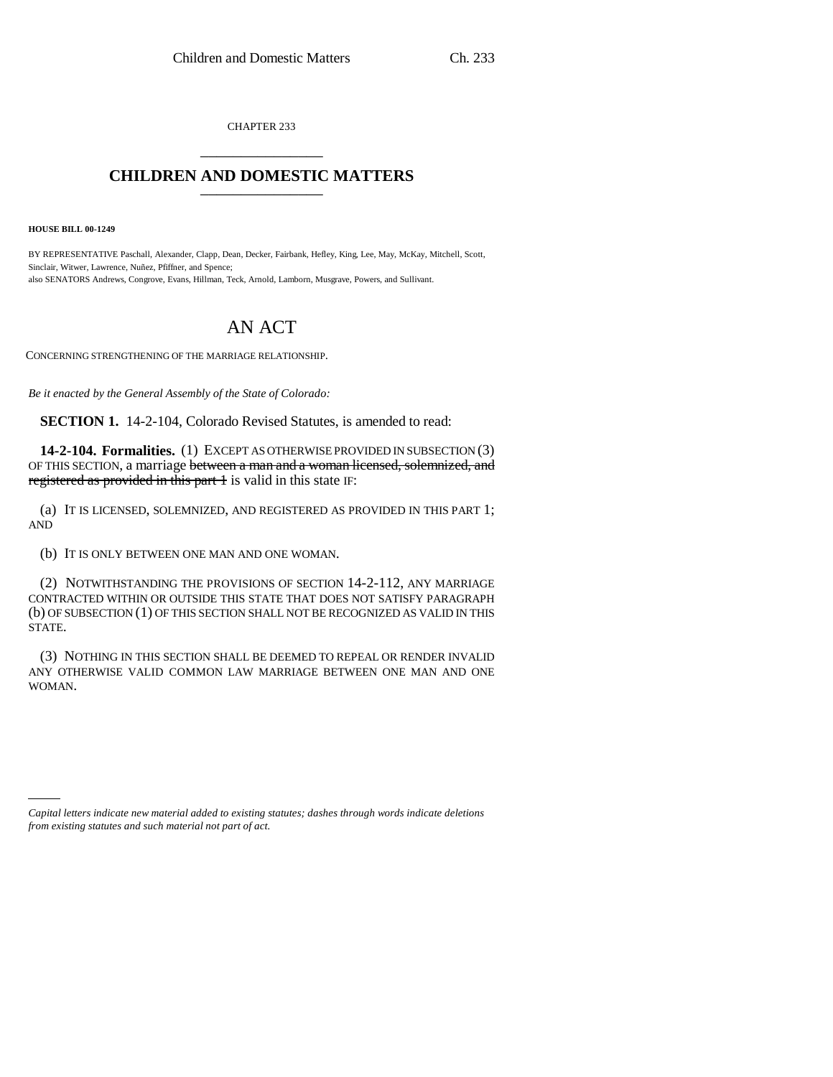CHAPTER 233 \_\_\_\_\_\_\_\_\_\_\_\_\_\_\_

## **CHILDREN AND DOMESTIC MATTERS** \_\_\_\_\_\_\_\_\_\_\_\_\_\_\_

**HOUSE BILL 00-1249** 

BY REPRESENTATIVE Paschall, Alexander, Clapp, Dean, Decker, Fairbank, Hefley, King, Lee, May, McKay, Mitchell, Scott, Sinclair, Witwer, Lawrence, Nuñez, Pfiffner, and Spence; also SENATORS Andrews, Congrove, Evans, Hillman, Teck, Arnold, Lamborn, Musgrave, Powers, and Sullivant.

## AN ACT

CONCERNING STRENGTHENING OF THE MARRIAGE RELATIONSHIP.

*Be it enacted by the General Assembly of the State of Colorado:*

**SECTION 1.** 14-2-104, Colorado Revised Statutes, is amended to read:

**14-2-104. Formalities.** (1) EXCEPT AS OTHERWISE PROVIDED IN SUBSECTION (3) OF THIS SECTION, a marriage between a man and a woman licensed, solemnized, and registered as provided in this part 1 is valid in this state IF:

(a) IT IS LICENSED, SOLEMNIZED, AND REGISTERED AS PROVIDED IN THIS PART 1; AND

(b) IT IS ONLY BETWEEN ONE MAN AND ONE WOMAN.

(2) NOTWITHSTANDING THE PROVISIONS OF SECTION 14-2-112, ANY MARRIAGE CONTRACTED WITHIN OR OUTSIDE THIS STATE THAT DOES NOT SATISFY PARAGRAPH (b) OF SUBSECTION (1) OF THIS SECTION SHALL NOT BE RECOGNIZED AS VALID IN THIS STATE.

(3) NOTHING IN THIS SECTION SHALL BE DEEMED TO REPEAL OR RENDER INVALID ANY OTHERWISE VALID COMMON LAW MARRIAGE BETWEEN ONE MAN AND ONE WOMAN.

*Capital letters indicate new material added to existing statutes; dashes through words indicate deletions from existing statutes and such material not part of act.*